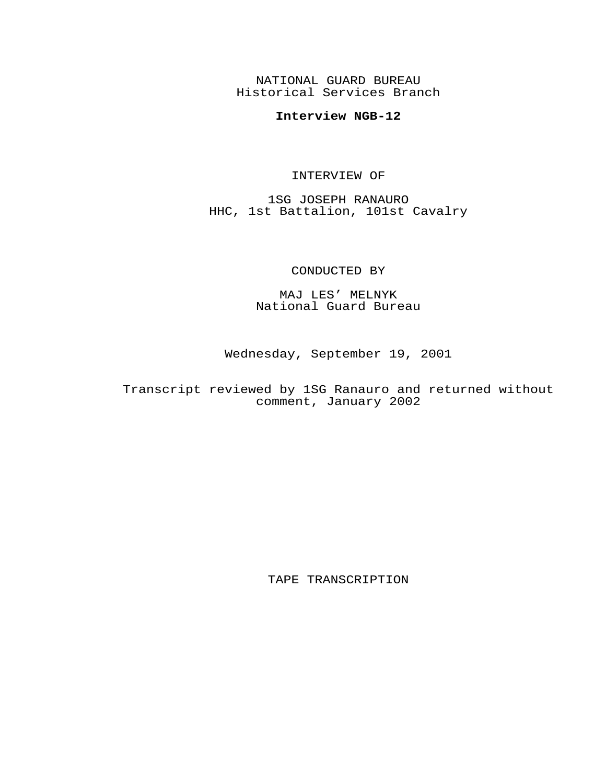NATIONAL GUARD BUREAU Historical Services Branch

## **Interview NGB-12**

## INTERVIEW OF

1SG JOSEPH RANAURO HHC, 1st Battalion, 101st Cavalry

## CONDUCTED BY

MAJ LES' MELNYK National Guard Bureau

Wednesday, September 19, 2001

Transcript reviewed by 1SG Ranauro and returned without comment, January 2002

TAPE TRANSCRIPTION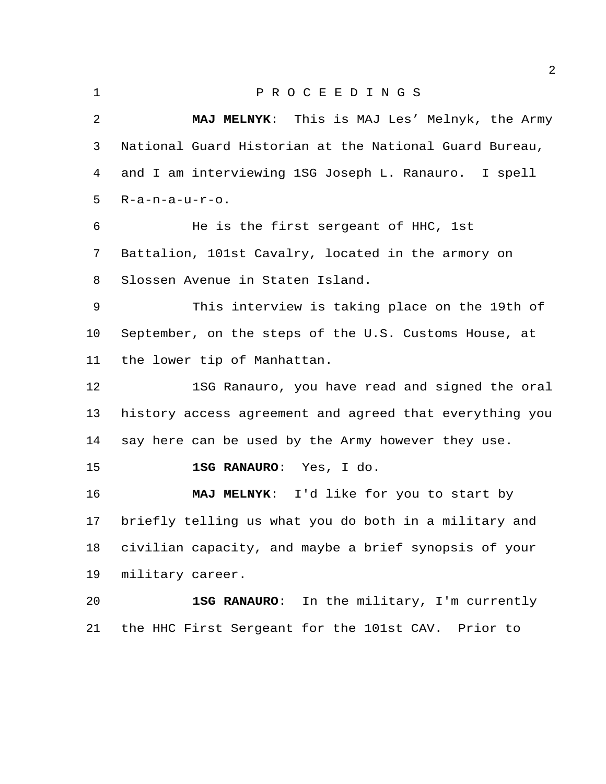## P R O C E E D I N G S

 **MAJ MELNYK**: This is MAJ Les' Melnyk, the Army National Guard Historian at the National Guard Bureau, and I am interviewing 1SG Joseph L. Ranauro. I spell R-a-n-a-u-r-o. He is the first sergeant of HHC, 1st Battalion, 101st Cavalry, located in the armory on Slossen Avenue in Staten Island. This interview is taking place on the 19th of September, on the steps of the U.S. Customs House, at the lower tip of Manhattan. 1SG Ranauro, you have read and signed the oral history access agreement and agreed that everything you say here can be used by the Army however they use. **1SG RANAURO**: Yes, I do. **MAJ MELNYK**: I'd like for you to start by briefly telling us what you do both in a military and civilian capacity, and maybe a brief synopsis of your military career. **1SG RANAURO**: In the military, I'm currently the HHC First Sergeant for the 101st CAV. Prior to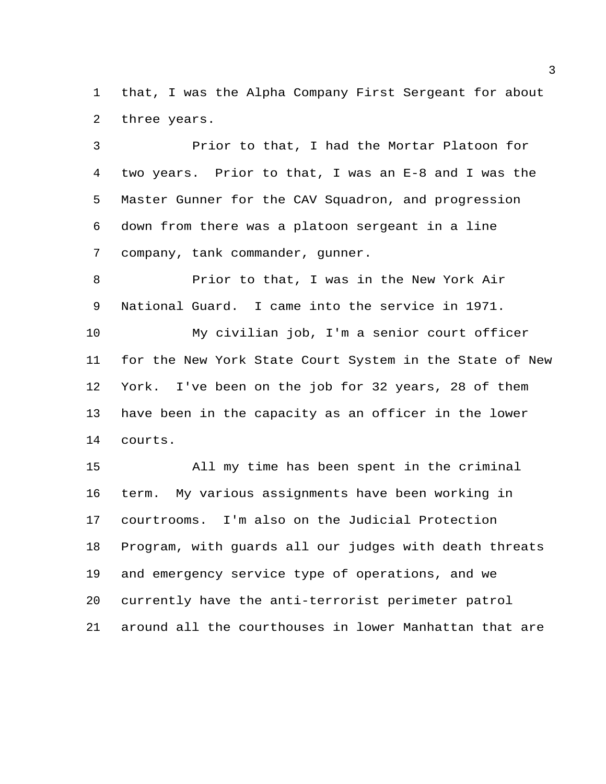that, I was the Alpha Company First Sergeant for about three years.

 Prior to that, I had the Mortar Platoon for two years. Prior to that, I was an E-8 and I was the Master Gunner for the CAV Squadron, and progression down from there was a platoon sergeant in a line company, tank commander, gunner.

 Prior to that, I was in the New York Air National Guard. I came into the service in 1971.

 My civilian job, I'm a senior court officer for the New York State Court System in the State of New York. I've been on the job for 32 years, 28 of them have been in the capacity as an officer in the lower courts.

 All my time has been spent in the criminal term. My various assignments have been working in courtrooms. I'm also on the Judicial Protection Program, with guards all our judges with death threats and emergency service type of operations, and we currently have the anti-terrorist perimeter patrol around all the courthouses in lower Manhattan that are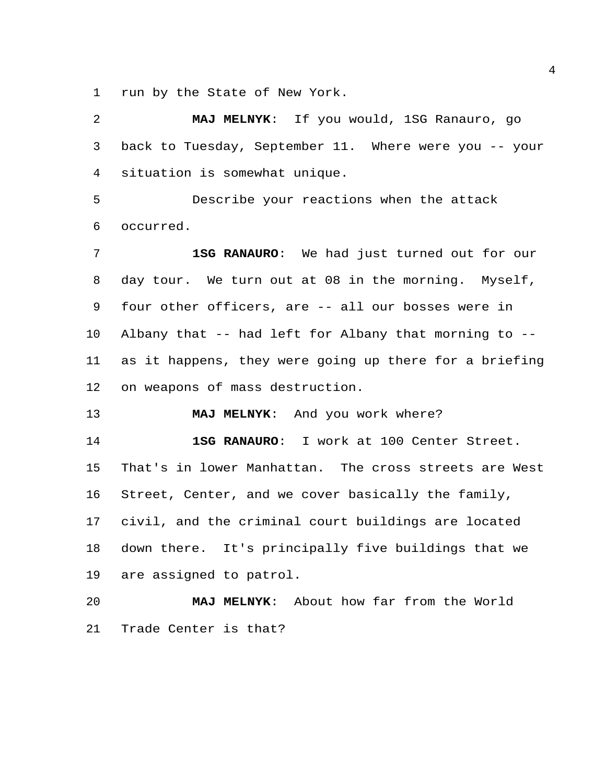run by the State of New York.

 **MAJ MELNYK**: If you would, 1SG Ranauro, go back to Tuesday, September 11. Where were you -- your situation is somewhat unique. Describe your reactions when the attack occurred. **1SG RANAURO**: We had just turned out for our day tour. We turn out at 08 in the morning. Myself, four other officers, are -- all our bosses were in Albany that -- had left for Albany that morning to -- as it happens, they were going up there for a briefing on weapons of mass destruction. **MAJ MELNYK**: And you work where? **1SG RANAURO**: I work at 100 Center Street. That's in lower Manhattan. The cross streets are West Street, Center, and we cover basically the family, civil, and the criminal court buildings are located

 down there. It's principally five buildings that we are assigned to patrol.

 **MAJ MELNYK**: About how far from the World Trade Center is that?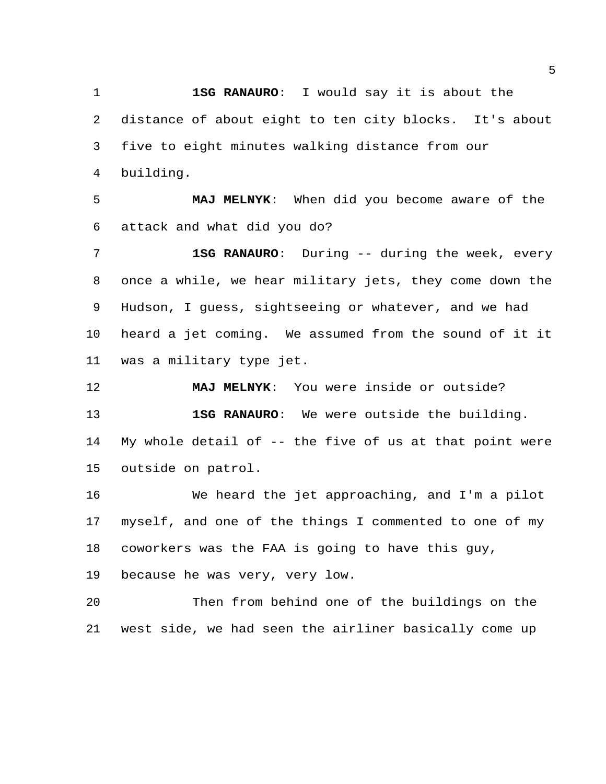**1SG RANAURO**: I would say it is about the distance of about eight to ten city blocks. It's about five to eight minutes walking distance from our building.

 **MAJ MELNYK**: When did you become aware of the attack and what did you do?

 **1SG RANAURO**: During -- during the week, every once a while, we hear military jets, they come down the Hudson, I guess, sightseeing or whatever, and we had heard a jet coming. We assumed from the sound of it it was a military type jet.

 **MAJ MELNYK**: You were inside or outside? **1SG RANAURO**: We were outside the building. My whole detail of -- the five of us at that point were outside on patrol.

 We heard the jet approaching, and I'm a pilot myself, and one of the things I commented to one of my coworkers was the FAA is going to have this guy,

because he was very, very low.

 Then from behind one of the buildings on the west side, we had seen the airliner basically come up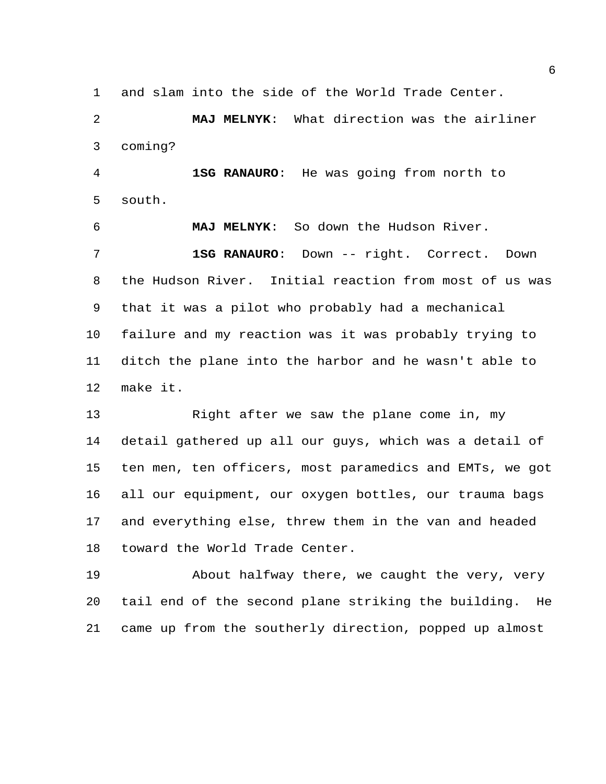and slam into the side of the World Trade Center.

 **MAJ MELNYK**: What direction was the airliner coming?

 **1SG RANAURO**: He was going from north to south.

 **MAJ MELNYK**: So down the Hudson River. **1SG RANAURO**: Down -- right. Correct. Down the Hudson River. Initial reaction from most of us was that it was a pilot who probably had a mechanical failure and my reaction was it was probably trying to ditch the plane into the harbor and he wasn't able to make it.

 Right after we saw the plane come in, my detail gathered up all our guys, which was a detail of ten men, ten officers, most paramedics and EMTs, we got all our equipment, our oxygen bottles, our trauma bags and everything else, threw them in the van and headed toward the World Trade Center.

 About halfway there, we caught the very, very tail end of the second plane striking the building. He came up from the southerly direction, popped up almost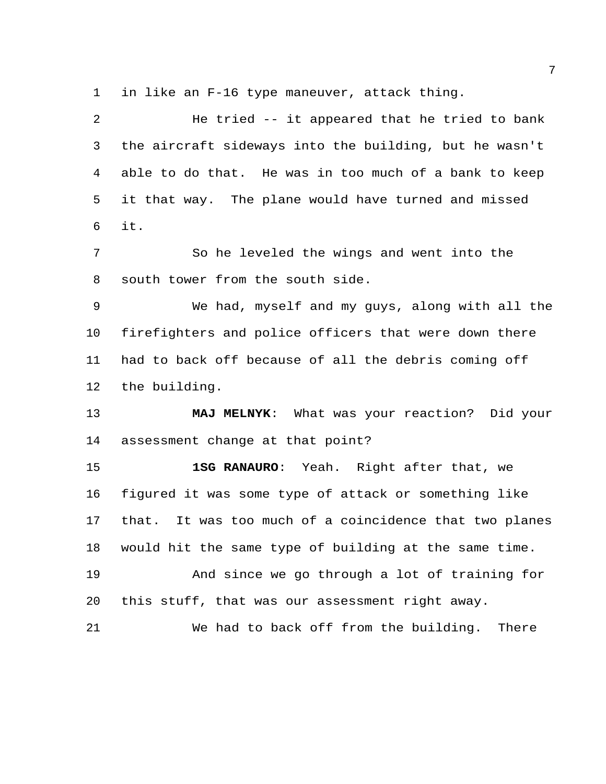in like an F-16 type maneuver, attack thing.

 He tried -- it appeared that he tried to bank the aircraft sideways into the building, but he wasn't able to do that. He was in too much of a bank to keep it that way. The plane would have turned and missed it. So he leveled the wings and went into the south tower from the south side. We had, myself and my guys, along with all the firefighters and police officers that were down there had to back off because of all the debris coming off

the building.

 **MAJ MELNYK**: What was your reaction? Did your assessment change at that point?

 **1SG RANAURO**: Yeah. Right after that, we figured it was some type of attack or something like that. It was too much of a coincidence that two planes would hit the same type of building at the same time. And since we go through a lot of training for

this stuff, that was our assessment right away.

We had to back off from the building. There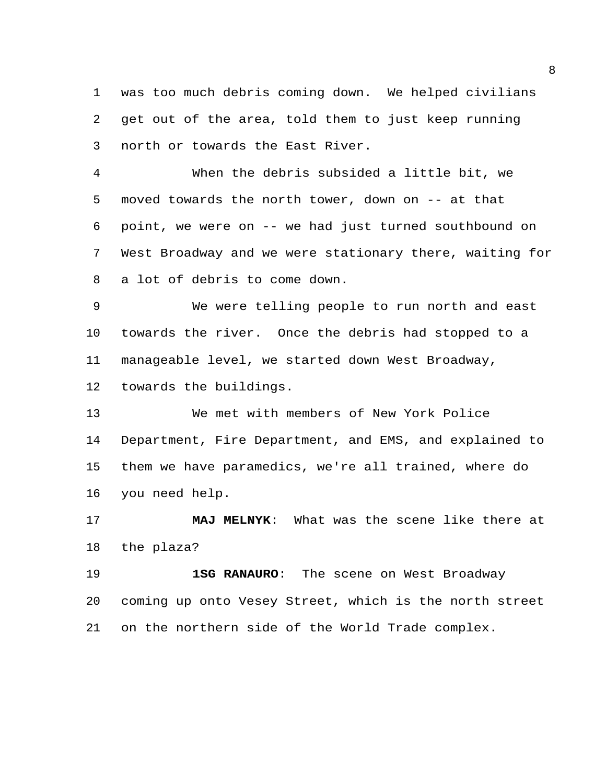was too much debris coming down. We helped civilians get out of the area, told them to just keep running north or towards the East River.

 When the debris subsided a little bit, we moved towards the north tower, down on -- at that point, we were on -- we had just turned southbound on West Broadway and we were stationary there, waiting for a lot of debris to come down.

 We were telling people to run north and east towards the river. Once the debris had stopped to a manageable level, we started down West Broadway,

towards the buildings.

 We met with members of New York Police Department, Fire Department, and EMS, and explained to them we have paramedics, we're all trained, where do you need help.

 **MAJ MELNYK**: What was the scene like there at the plaza?

 **1SG RANAURO**: The scene on West Broadway coming up onto Vesey Street, which is the north street on the northern side of the World Trade complex.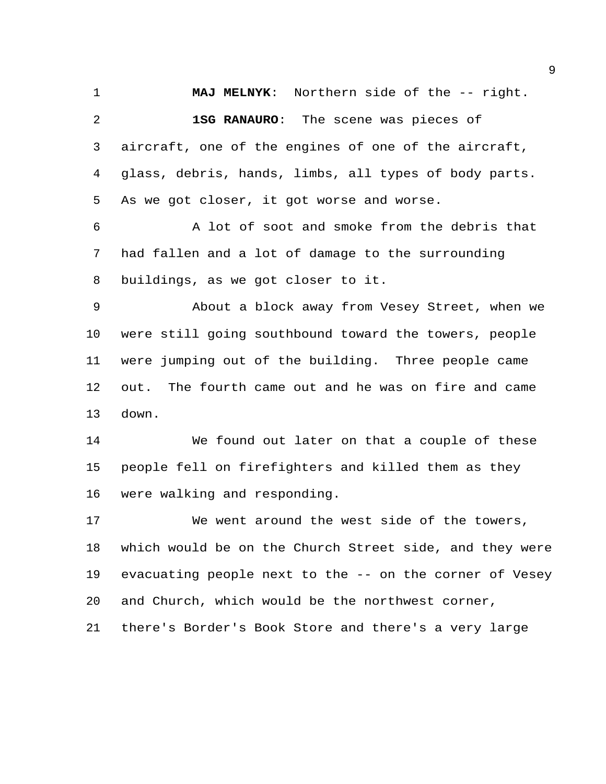**MAJ MELNYK**: Northern side of the -- right. **1SG RANAURO**: The scene was pieces of aircraft, one of the engines of one of the aircraft, glass, debris, hands, limbs, all types of body parts. As we got closer, it got worse and worse. A lot of soot and smoke from the debris that had fallen and a lot of damage to the surrounding buildings, as we got closer to it. About a block away from Vesey Street, when we were still going southbound toward the towers, people were jumping out of the building. Three people came out. The fourth came out and he was on fire and came down. We found out later on that a couple of these people fell on firefighters and killed them as they were walking and responding. We went around the west side of the towers, which would be on the Church Street side, and they were evacuating people next to the -- on the corner of Vesey

and Church, which would be the northwest corner,

there's Border's Book Store and there's a very large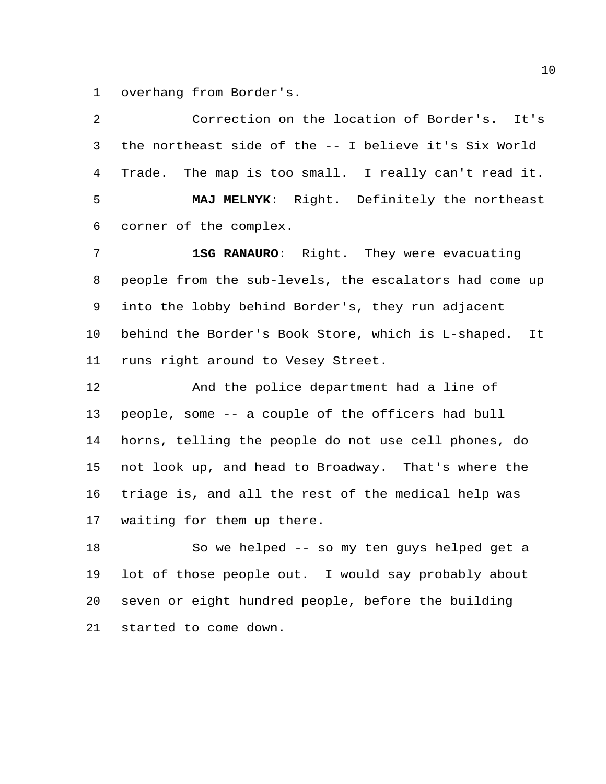overhang from Border's.

 Correction on the location of Border's. It's the northeast side of the -- I believe it's Six World Trade. The map is too small. I really can't read it. **MAJ MELNYK**: Right. Definitely the northeast corner of the complex. **1SG RANAURO**: Right. They were evacuating people from the sub-levels, the escalators had come up into the lobby behind Border's, they run adjacent behind the Border's Book Store, which is L-shaped. It runs right around to Vesey Street. And the police department had a line of people, some -- a couple of the officers had bull horns, telling the people do not use cell phones, do not look up, and head to Broadway. That's where the triage is, and all the rest of the medical help was waiting for them up there.

 So we helped -- so my ten guys helped get a lot of those people out. I would say probably about seven or eight hundred people, before the building started to come down.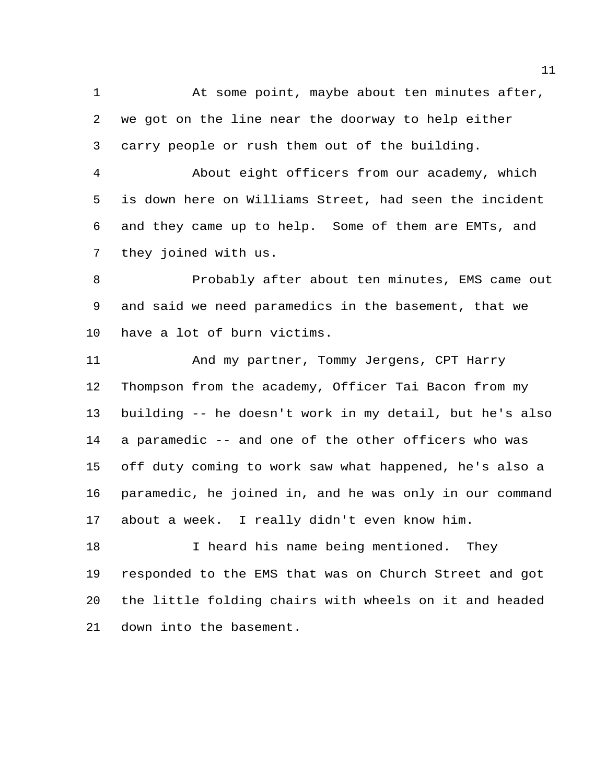At some point, maybe about ten minutes after, we got on the line near the doorway to help either carry people or rush them out of the building.

 About eight officers from our academy, which is down here on Williams Street, had seen the incident and they came up to help. Some of them are EMTs, and they joined with us.

 Probably after about ten minutes, EMS came out and said we need paramedics in the basement, that we have a lot of burn victims.

 And my partner, Tommy Jergens, CPT Harry Thompson from the academy, Officer Tai Bacon from my building -- he doesn't work in my detail, but he's also a paramedic -- and one of the other officers who was off duty coming to work saw what happened, he's also a paramedic, he joined in, and he was only in our command about a week. I really didn't even know him.

18 18 I heard his name being mentioned. They responded to the EMS that was on Church Street and got the little folding chairs with wheels on it and headed down into the basement.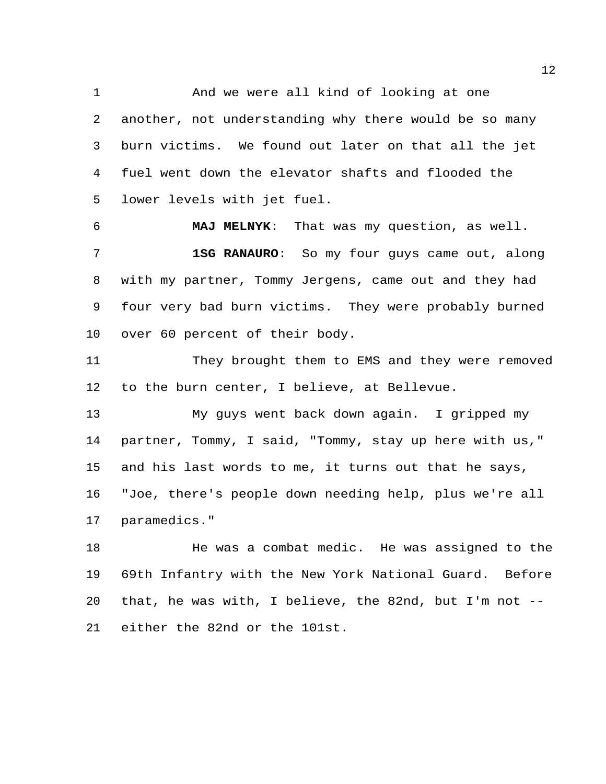And we were all kind of looking at one another, not understanding why there would be so many burn victims. We found out later on that all the jet fuel went down the elevator shafts and flooded the lower levels with jet fuel.

 **MAJ MELNYK**: That was my question, as well. **1SG RANAURO**: So my four guys came out, along with my partner, Tommy Jergens, came out and they had four very bad burn victims. They were probably burned over 60 percent of their body.

 They brought them to EMS and they were removed to the burn center, I believe, at Bellevue.

 My guys went back down again. I gripped my partner, Tommy, I said, "Tommy, stay up here with us," and his last words to me, it turns out that he says, "Joe, there's people down needing help, plus we're all paramedics."

 He was a combat medic. He was assigned to the 69th Infantry with the New York National Guard. Before that, he was with, I believe, the 82nd, but I'm not -- either the 82nd or the 101st.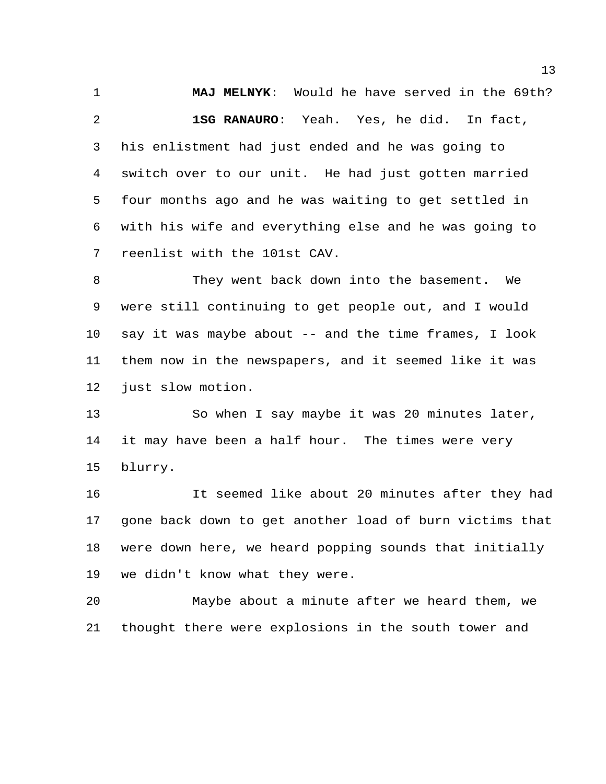**MAJ MELNYK**: Would he have served in the 69th? **1SG RANAURO**: Yeah. Yes, he did. In fact, his enlistment had just ended and he was going to switch over to our unit. He had just gotten married four months ago and he was waiting to get settled in with his wife and everything else and he was going to reenlist with the 101st CAV.

 They went back down into the basement. We were still continuing to get people out, and I would say it was maybe about -- and the time frames, I look them now in the newspapers, and it seemed like it was just slow motion.

 So when I say maybe it was 20 minutes later, it may have been a half hour. The times were very blurry.

 It seemed like about 20 minutes after they had gone back down to get another load of burn victims that were down here, we heard popping sounds that initially we didn't know what they were.

 Maybe about a minute after we heard them, we thought there were explosions in the south tower and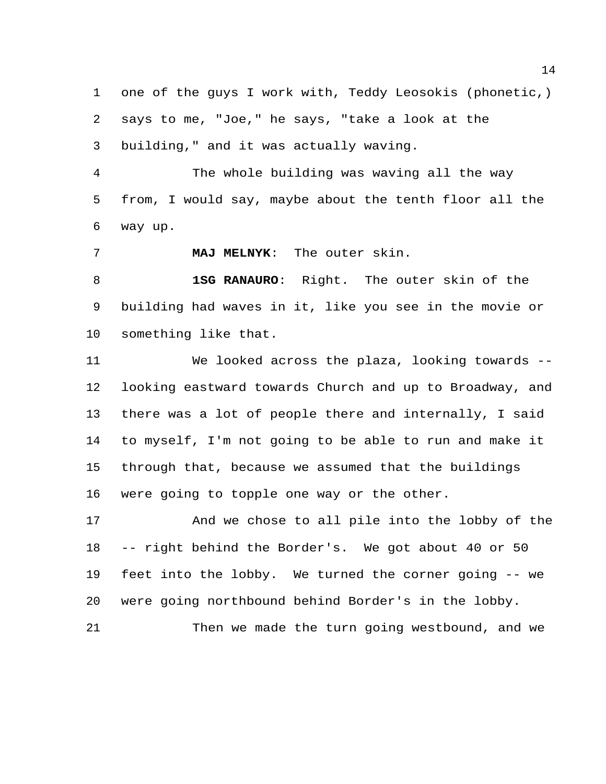one of the guys I work with, Teddy Leosokis (phonetic,) says to me, "Joe," he says, "take a look at the building," and it was actually waving.

 The whole building was waving all the way from, I would say, maybe about the tenth floor all the way up.

**MAJ MELNYK**: The outer skin.

 **1SG RANAURO**: Right. The outer skin of the building had waves in it, like you see in the movie or something like that.

 We looked across the plaza, looking towards -- looking eastward towards Church and up to Broadway, and there was a lot of people there and internally, I said to myself, I'm not going to be able to run and make it through that, because we assumed that the buildings were going to topple one way or the other.

 And we chose to all pile into the lobby of the -- right behind the Border's. We got about 40 or 50 feet into the lobby. We turned the corner going -- we were going northbound behind Border's in the lobby. Then we made the turn going westbound, and we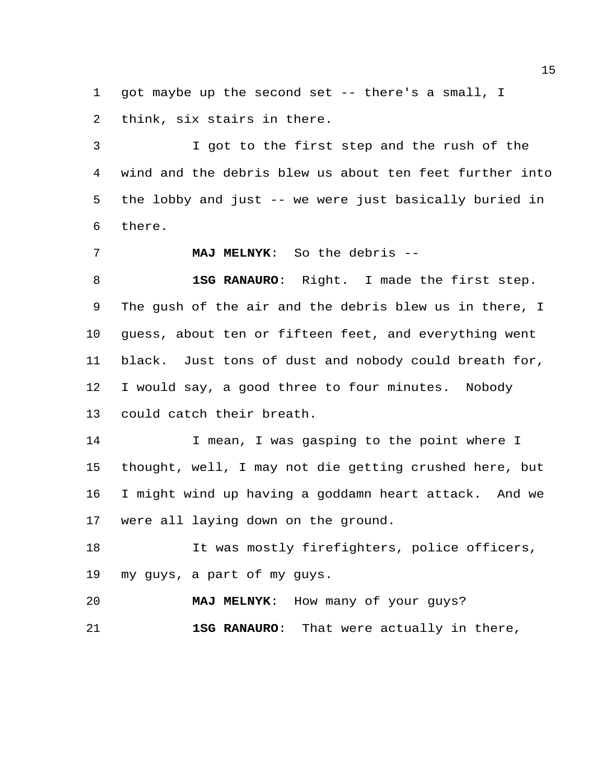got maybe up the second set -- there's a small, I think, six stairs in there.

 I got to the first step and the rush of the wind and the debris blew us about ten feet further into the lobby and just -- we were just basically buried in there.

**MAJ MELNYK**: So the debris --

 **1SG RANAURO**: Right. I made the first step. The gush of the air and the debris blew us in there, I guess, about ten or fifteen feet, and everything went black. Just tons of dust and nobody could breath for, I would say, a good three to four minutes. Nobody could catch their breath.

14 I mean, I was gasping to the point where I thought, well, I may not die getting crushed here, but I might wind up having a goddamn heart attack. And we were all laying down on the ground.

 It was mostly firefighters, police officers, my guys, a part of my guys.

 **MAJ MELNYK**: How many of your guys? **1SG RANAURO**: That were actually in there,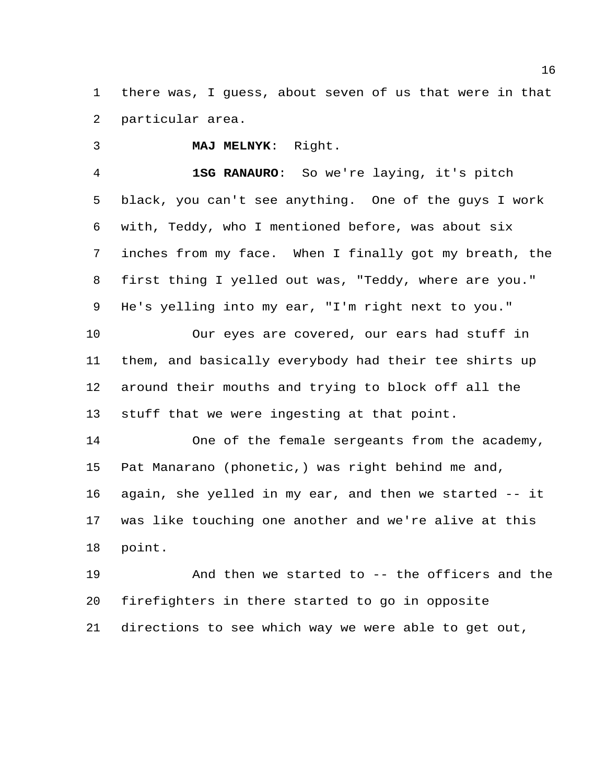there was, I guess, about seven of us that were in that particular area.

**MAJ MELNYK**: Right.

 **1SG RANAURO**: So we're laying, it's pitch black, you can't see anything. One of the guys I work with, Teddy, who I mentioned before, was about six inches from my face. When I finally got my breath, the first thing I yelled out was, "Teddy, where are you." He's yelling into my ear, "I'm right next to you."

 Our eyes are covered, our ears had stuff in them, and basically everybody had their tee shirts up around their mouths and trying to block off all the stuff that we were ingesting at that point.

 One of the female sergeants from the academy, Pat Manarano (phonetic,) was right behind me and, again, she yelled in my ear, and then we started -- it was like touching one another and we're alive at this point.

 And then we started to -- the officers and the firefighters in there started to go in opposite directions to see which way we were able to get out,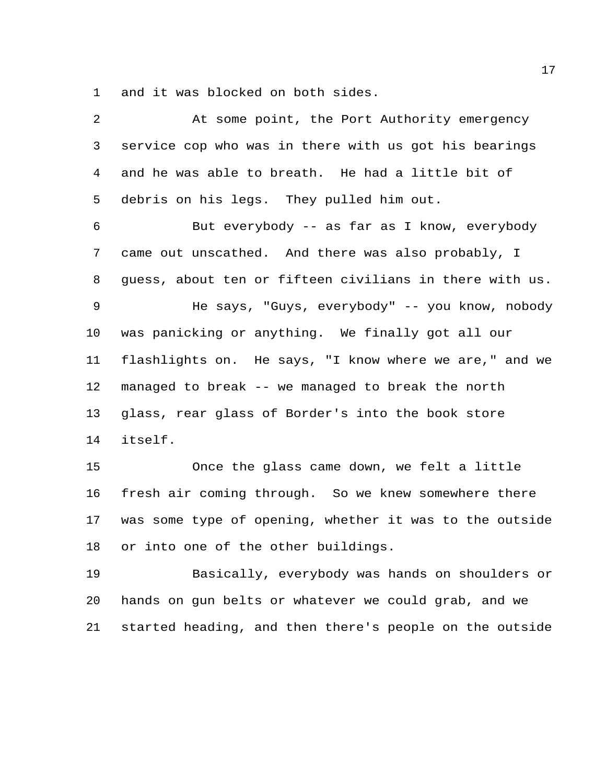and it was blocked on both sides.

| 2  | At some point, the Port Authority emergency             |
|----|---------------------------------------------------------|
| 3  | service cop who was in there with us got his bearings   |
| 4  | and he was able to breath. He had a little bit of       |
| 5  | debris on his legs. They pulled him out.                |
| 6  | But everybody -- as far as I know, everybody            |
| 7  | came out unscathed. And there was also probably, I      |
| 8  | guess, about ten or fifteen civilians in there with us. |
| 9  | He says, "Guys, everybody" -- you know, nobody          |
| 10 | was panicking or anything. We finally got all our       |
| 11 | flashlights on. He says, "I know where we are," and we  |
| 12 | managed to break -- we managed to break the north       |
| 13 | glass, rear glass of Border's into the book store       |
| 14 | itself.                                                 |
| 15 | Once the glass came down, we felt a little              |
| 16 | fresh air coming through. So we knew somewhere there    |
| 17 | was some type of opening, whether it was to the outside |
| 18 | or into one of the other buildings.                     |
| 19 | Basically, everybody was hands on shoulders or          |
| 20 | hands on gun belts or whatever we could grab, and we    |
| 21 | started heading, and then there's people on the outside |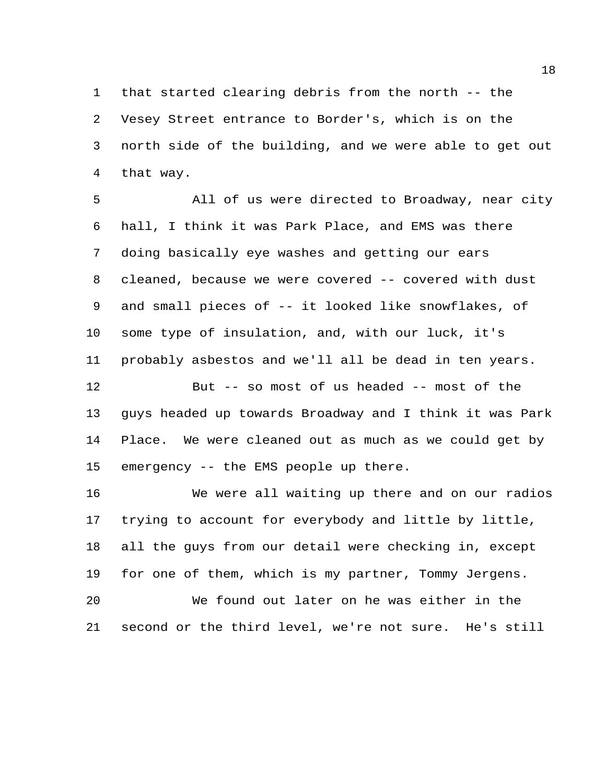that started clearing debris from the north -- the Vesey Street entrance to Border's, which is on the north side of the building, and we were able to get out that way.

 All of us were directed to Broadway, near city hall, I think it was Park Place, and EMS was there doing basically eye washes and getting our ears 8 cleaned, because we were covered -- covered with dust and small pieces of -- it looked like snowflakes, of some type of insulation, and, with our luck, it's probably asbestos and we'll all be dead in ten years. But -- so most of us headed -- most of the guys headed up towards Broadway and I think it was Park Place. We were cleaned out as much as we could get by emergency -- the EMS people up there.

 We were all waiting up there and on our radios trying to account for everybody and little by little, all the guys from our detail were checking in, except for one of them, which is my partner, Tommy Jergens.

 We found out later on he was either in the second or the third level, we're not sure. He's still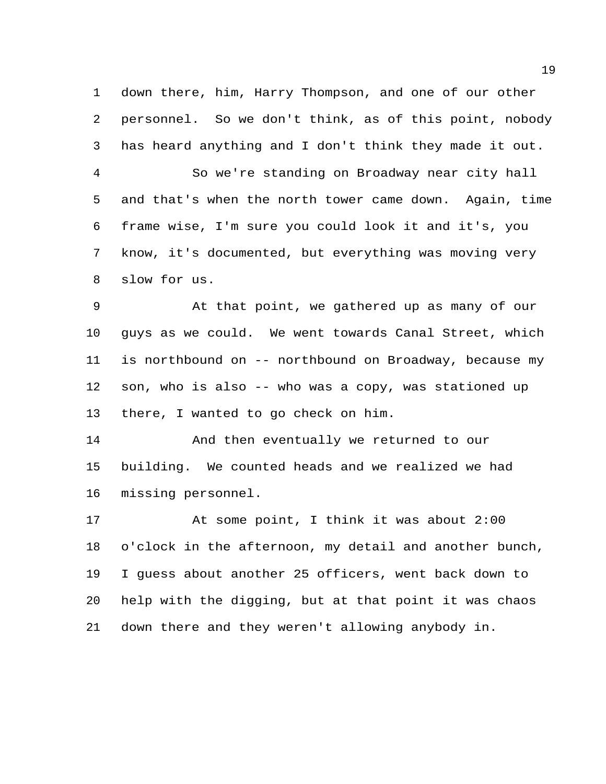down there, him, Harry Thompson, and one of our other personnel. So we don't think, as of this point, nobody has heard anything and I don't think they made it out.

 So we're standing on Broadway near city hall and that's when the north tower came down. Again, time frame wise, I'm sure you could look it and it's, you know, it's documented, but everything was moving very slow for us.

 At that point, we gathered up as many of our guys as we could. We went towards Canal Street, which is northbound on -- northbound on Broadway, because my son, who is also -- who was a copy, was stationed up there, I wanted to go check on him.

 And then eventually we returned to our building. We counted heads and we realized we had missing personnel.

 At some point, I think it was about 2:00 o'clock in the afternoon, my detail and another bunch, I guess about another 25 officers, went back down to help with the digging, but at that point it was chaos down there and they weren't allowing anybody in.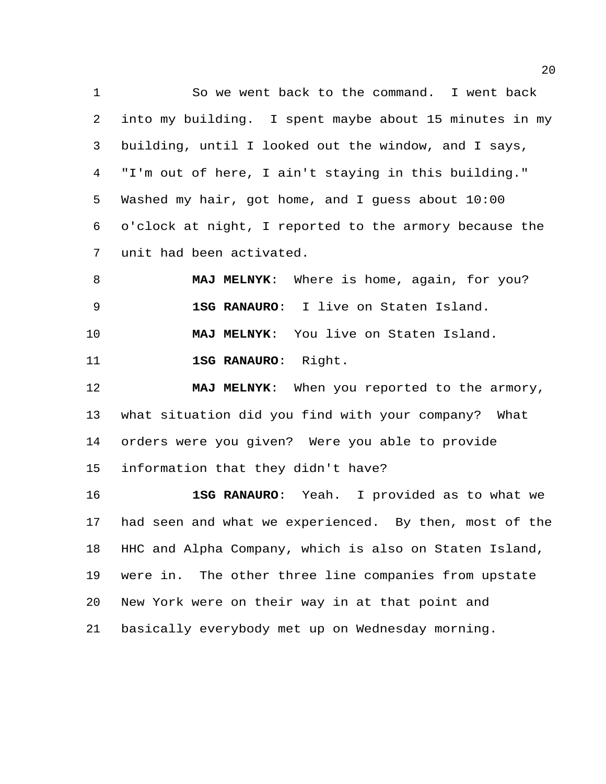So we went back to the command. I went back into my building. I spent maybe about 15 minutes in my building, until I looked out the window, and I says, "I'm out of here, I ain't staying in this building." Washed my hair, got home, and I guess about 10:00 o'clock at night, I reported to the armory because the unit had been activated.

 **MAJ MELNYK**: Where is home, again, for you? **1SG RANAURO**: I live on Staten Island. **MAJ MELNYK**: You live on Staten Island. **1SG RANAURO**: Right.

 **MAJ MELNYK**: When you reported to the armory, what situation did you find with your company? What orders were you given? Were you able to provide information that they didn't have?

 **1SG RANAURO**: Yeah. I provided as to what we had seen and what we experienced. By then, most of the HHC and Alpha Company, which is also on Staten Island, were in. The other three line companies from upstate New York were on their way in at that point and basically everybody met up on Wednesday morning.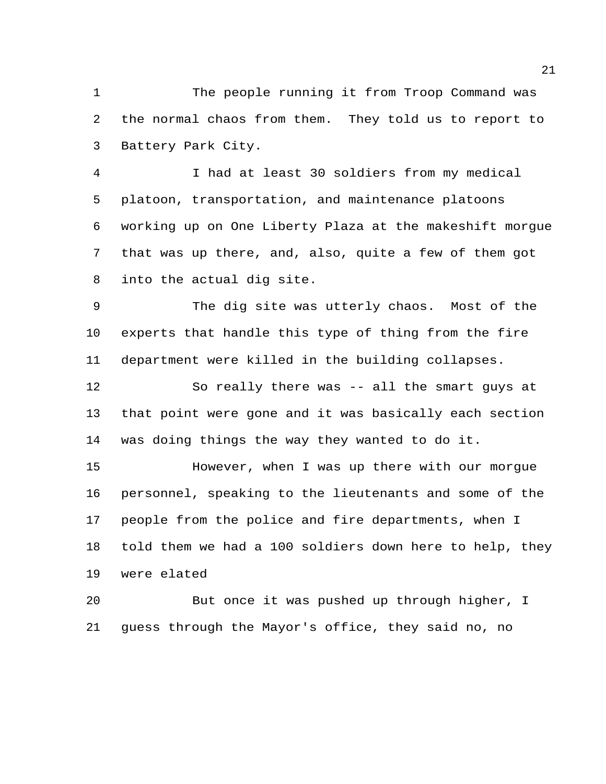The people running it from Troop Command was the normal chaos from them. They told us to report to Battery Park City.

 I had at least 30 soldiers from my medical platoon, transportation, and maintenance platoons working up on One Liberty Plaza at the makeshift morgue that was up there, and, also, quite a few of them got into the actual dig site.

 The dig site was utterly chaos. Most of the experts that handle this type of thing from the fire department were killed in the building collapses.

 So really there was -- all the smart guys at that point were gone and it was basically each section was doing things the way they wanted to do it.

 However, when I was up there with our morgue personnel, speaking to the lieutenants and some of the people from the police and fire departments, when I told them we had a 100 soldiers down here to help, they were elated

 But once it was pushed up through higher, I guess through the Mayor's office, they said no, no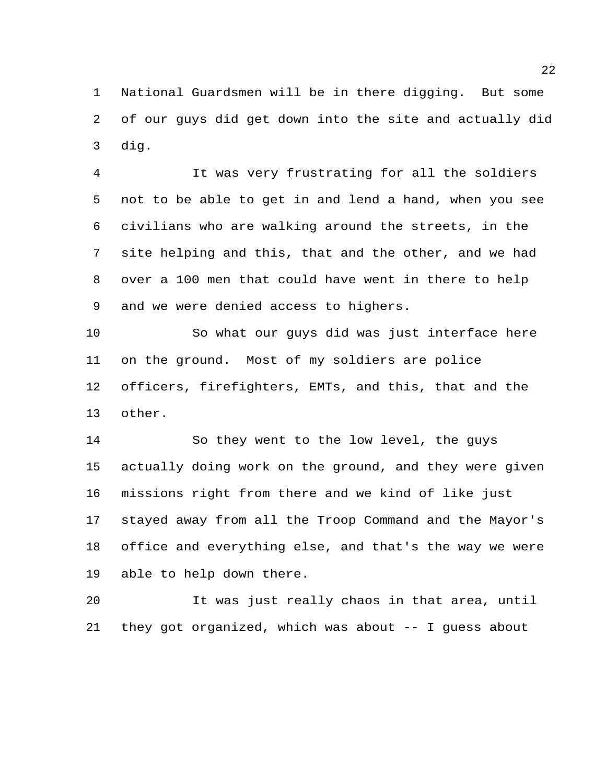National Guardsmen will be in there digging. But some of our guys did get down into the site and actually did dig.

 It was very frustrating for all the soldiers not to be able to get in and lend a hand, when you see civilians who are walking around the streets, in the site helping and this, that and the other, and we had over a 100 men that could have went in there to help and we were denied access to highers.

 So what our guys did was just interface here on the ground. Most of my soldiers are police officers, firefighters, EMTs, and this, that and the other.

 So they went to the low level, the guys actually doing work on the ground, and they were given missions right from there and we kind of like just stayed away from all the Troop Command and the Mayor's office and everything else, and that's the way we were able to help down there.

 It was just really chaos in that area, until they got organized, which was about -- I guess about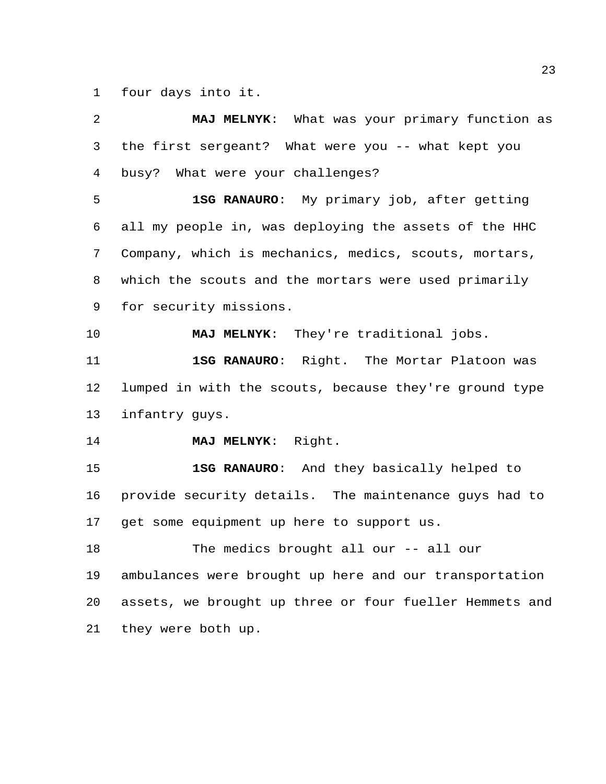four days into it.

| 2  | MAJ MELNYK: What was your primary function as           |
|----|---------------------------------------------------------|
| 3  | the first sergeant? What were you -- what kept you      |
| 4  | busy? What were your challenges?                        |
| 5  | 1SG RANAURO: My primary job, after getting              |
| 6  | all my people in, was deploying the assets of the HHC   |
| 7  | Company, which is mechanics, medics, scouts, mortars,   |
| 8  | which the scouts and the mortars were used primarily    |
| 9  | for security missions.                                  |
| 10 | MAJ MELNYK: They're traditional jobs.                   |
| 11 | 1SG RANAURO: Right. The Mortar Platoon was              |
| 12 | lumped in with the scouts, because they're ground type  |
| 13 | infantry guys.                                          |
| 14 | MAJ MELNYK: Right.                                      |
| 15 | 1SG RANAURO: And they basically helped to               |
| 16 | provide security details. The maintenance guys had to   |
| 17 | get some equipment up here to support us.               |
| 18 | The medics brought all our -- all our                   |
| 19 | ambulances were brought up here and our transportation  |
| 20 | assets, we brought up three or four fueller Hemmets and |
| 21 | they were both up.                                      |
|    |                                                         |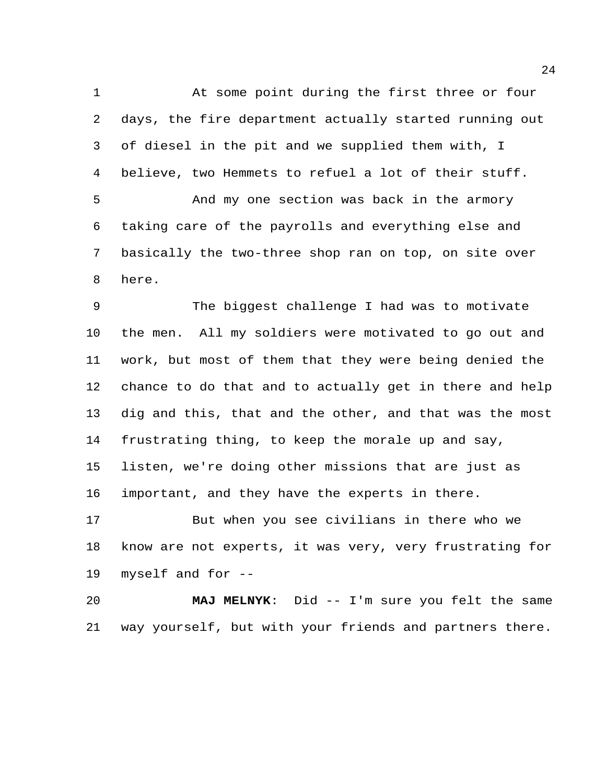At some point during the first three or four days, the fire department actually started running out of diesel in the pit and we supplied them with, I believe, two Hemmets to refuel a lot of their stuff. And my one section was back in the armory taking care of the payrolls and everything else and basically the two-three shop ran on top, on site over here. The biggest challenge I had was to motivate the men. All my soldiers were motivated to go out and work, but most of them that they were being denied the chance to do that and to actually get in there and help dig and this, that and the other, and that was the most frustrating thing, to keep the morale up and say, listen, we're doing other missions that are just as important, and they have the experts in there. But when you see civilians in there who we

 know are not experts, it was very, very frustrating for myself and for --

 **MAJ MELNYK**: Did -- I'm sure you felt the same way yourself, but with your friends and partners there.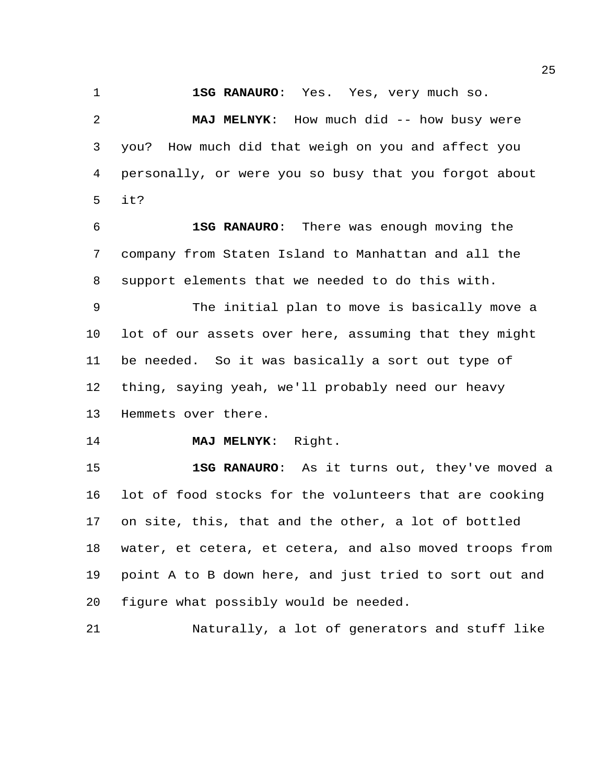**1SG RANAURO**: Yes. Yes, very much so.

 **MAJ MELNYK**: How much did -- how busy were you? How much did that weigh on you and affect you personally, or were you so busy that you forgot about it?

 **1SG RANAURO**: There was enough moving the company from Staten Island to Manhattan and all the support elements that we needed to do this with.

 The initial plan to move is basically move a lot of our assets over here, assuming that they might be needed. So it was basically a sort out type of thing, saying yeah, we'll probably need our heavy Hemmets over there.

**MAJ MELNYK**: Right.

 **1SG RANAURO**: As it turns out, they've moved a lot of food stocks for the volunteers that are cooking on site, this, that and the other, a lot of bottled water, et cetera, et cetera, and also moved troops from point A to B down here, and just tried to sort out and figure what possibly would be needed.

Naturally, a lot of generators and stuff like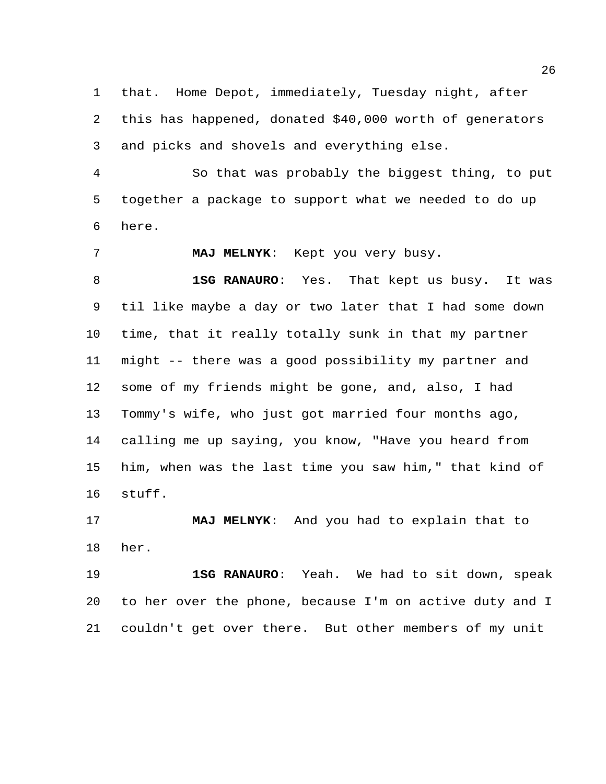that. Home Depot, immediately, Tuesday night, after this has happened, donated \$40,000 worth of generators and picks and shovels and everything else.

 So that was probably the biggest thing, to put together a package to support what we needed to do up here.

**MAJ MELNYK**: Kept you very busy.

 **1SG RANAURO**: Yes. That kept us busy. It was til like maybe a day or two later that I had some down time, that it really totally sunk in that my partner might -- there was a good possibility my partner and some of my friends might be gone, and, also, I had Tommy's wife, who just got married four months ago, calling me up saying, you know, "Have you heard from him, when was the last time you saw him," that kind of stuff.

 **MAJ MELNYK**: And you had to explain that to her.

 **1SG RANAURO**: Yeah. We had to sit down, speak to her over the phone, because I'm on active duty and I couldn't get over there. But other members of my unit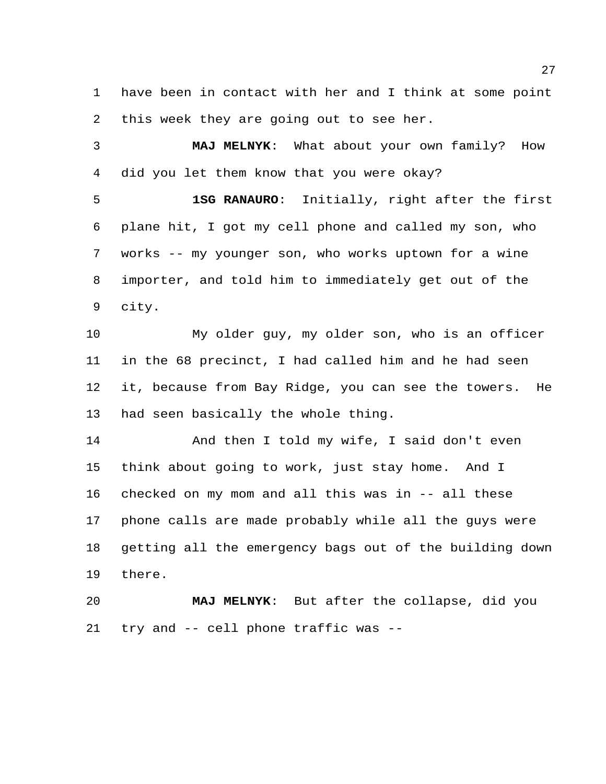have been in contact with her and I think at some point this week they are going out to see her.

 **MAJ MELNYK**: What about your own family? How did you let them know that you were okay?

 **1SG RANAURO**: Initially, right after the first plane hit, I got my cell phone and called my son, who works -- my younger son, who works uptown for a wine importer, and told him to immediately get out of the city.

 My older guy, my older son, who is an officer in the 68 precinct, I had called him and he had seen it, because from Bay Ridge, you can see the towers. He had seen basically the whole thing.

 And then I told my wife, I said don't even think about going to work, just stay home. And I checked on my mom and all this was in -- all these phone calls are made probably while all the guys were getting all the emergency bags out of the building down there.

 **MAJ MELNYK**: But after the collapse, did you try and -- cell phone traffic was --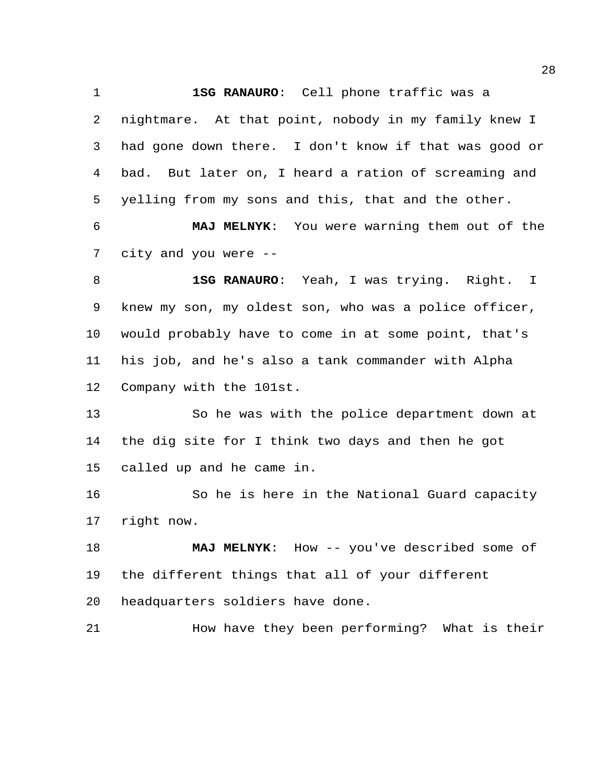**1SG RANAURO**: Cell phone traffic was a

 nightmare. At that point, nobody in my family knew I had gone down there. I don't know if that was good or bad. But later on, I heard a ration of screaming and yelling from my sons and this, that and the other.

 **MAJ MELNYK**: You were warning them out of the city and you were --

 **1SG RANAURO**: Yeah, I was trying. Right. I knew my son, my oldest son, who was a police officer, would probably have to come in at some point, that's his job, and he's also a tank commander with Alpha Company with the 101st.

 So he was with the police department down at the dig site for I think two days and then he got called up and he came in.

 So he is here in the National Guard capacity right now.

18 MAJ MELNYK: How -- you've described some of the different things that all of your different headquarters soldiers have done.

How have they been performing? What is their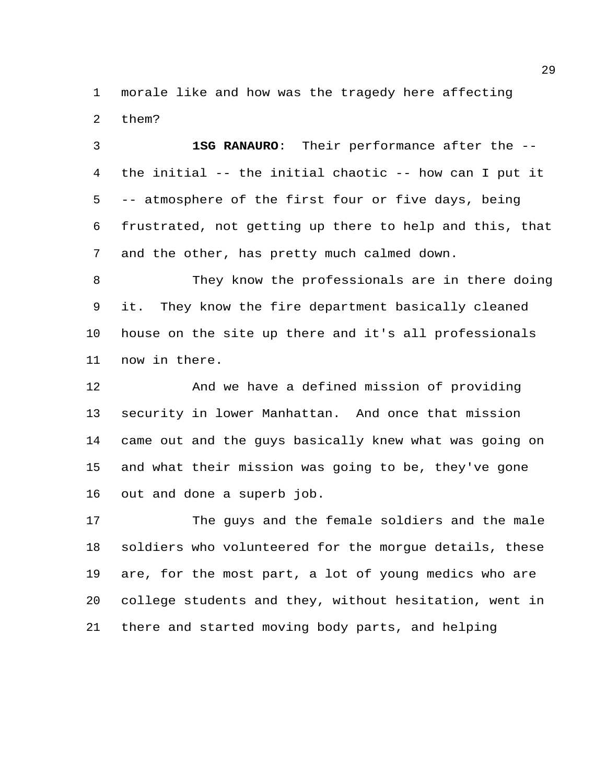morale like and how was the tragedy here affecting them?

 **1SG RANAURO**: Their performance after the -- the initial -- the initial chaotic -- how can I put it -- atmosphere of the first four or five days, being frustrated, not getting up there to help and this, that and the other, has pretty much calmed down.

 They know the professionals are in there doing it. They know the fire department basically cleaned house on the site up there and it's all professionals now in there.

 And we have a defined mission of providing security in lower Manhattan. And once that mission came out and the guys basically knew what was going on and what their mission was going to be, they've gone out and done a superb job.

 The guys and the female soldiers and the male soldiers who volunteered for the morgue details, these are, for the most part, a lot of young medics who are college students and they, without hesitation, went in there and started moving body parts, and helping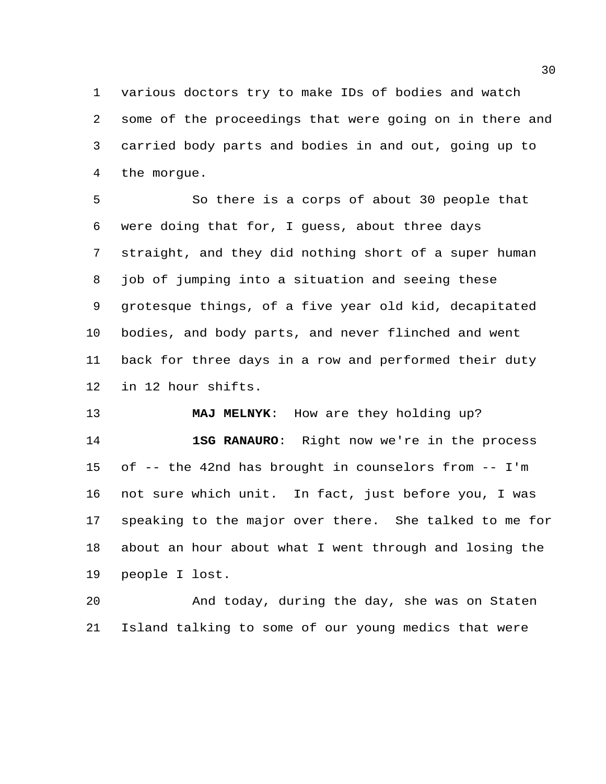various doctors try to make IDs of bodies and watch some of the proceedings that were going on in there and carried body parts and bodies in and out, going up to the morgue.

 So there is a corps of about 30 people that were doing that for, I guess, about three days straight, and they did nothing short of a super human job of jumping into a situation and seeing these grotesque things, of a five year old kid, decapitated bodies, and body parts, and never flinched and went back for three days in a row and performed their duty in 12 hour shifts.

 **MAJ MELNYK**: How are they holding up? **1SG RANAURO**: Right now we're in the process of -- the 42nd has brought in counselors from -- I'm not sure which unit. In fact, just before you, I was speaking to the major over there. She talked to me for about an hour about what I went through and losing the people I lost.

 And today, during the day, she was on Staten Island talking to some of our young medics that were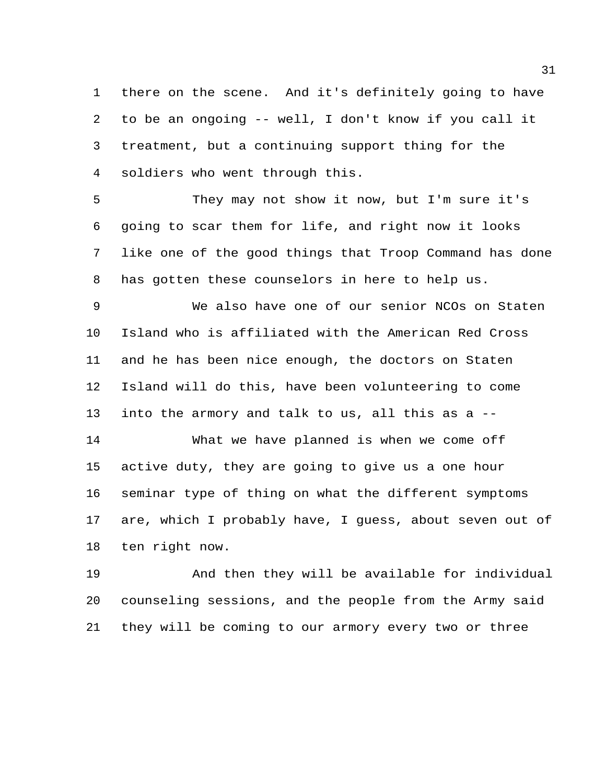there on the scene. And it's definitely going to have to be an ongoing -- well, I don't know if you call it treatment, but a continuing support thing for the soldiers who went through this.

 They may not show it now, but I'm sure it's going to scar them for life, and right now it looks like one of the good things that Troop Command has done has gotten these counselors in here to help us.

 We also have one of our senior NCOs on Staten Island who is affiliated with the American Red Cross and he has been nice enough, the doctors on Staten Island will do this, have been volunteering to come into the armory and talk to us, all this as a --

 What we have planned is when we come off active duty, they are going to give us a one hour seminar type of thing on what the different symptoms are, which I probably have, I guess, about seven out of ten right now.

 And then they will be available for individual counseling sessions, and the people from the Army said they will be coming to our armory every two or three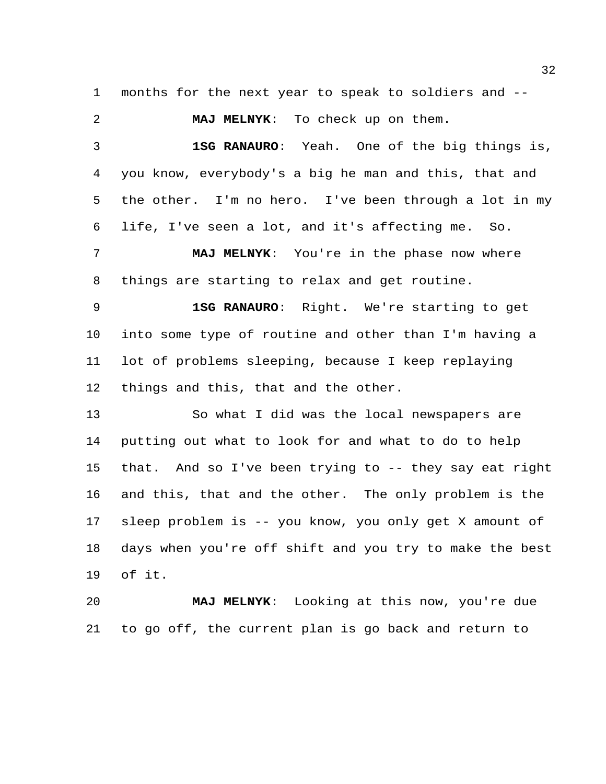months for the next year to speak to soldiers and --

 **MAJ MELNYK**: To check up on them. **1SG RANAURO**: Yeah. One of the big things is, you know, everybody's a big he man and this, that and the other. I'm no hero. I've been through a lot in my life, I've seen a lot, and it's affecting me. So. **MAJ MELNYK**: You're in the phase now where things are starting to relax and get routine. **1SG RANAURO**: Right. We're starting to get into some type of routine and other than I'm having a lot of problems sleeping, because I keep replaying things and this, that and the other. So what I did was the local newspapers are putting out what to look for and what to do to help that. And so I've been trying to -- they say eat right and this, that and the other. The only problem is the sleep problem is -- you know, you only get X amount of days when you're off shift and you try to make the best of it.

 **MAJ MELNYK**: Looking at this now, you're due to go off, the current plan is go back and return to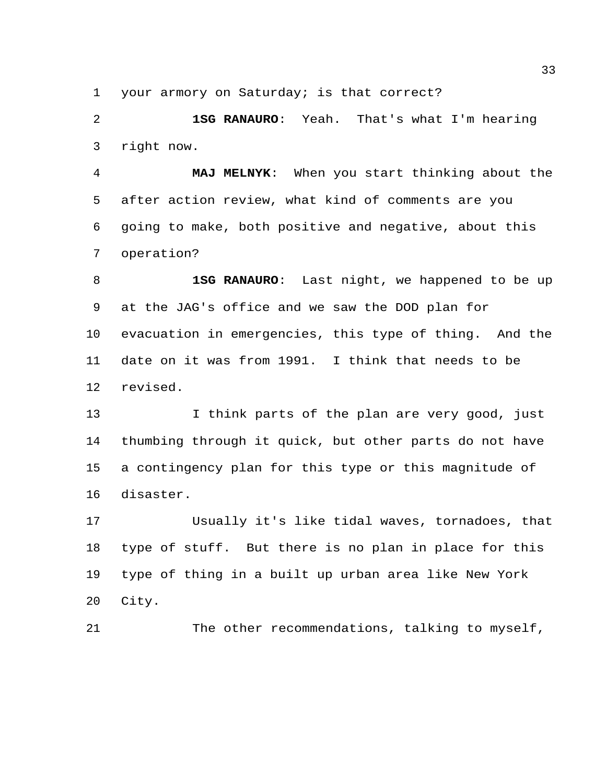your armory on Saturday; is that correct?

 **1SG RANAURO**: Yeah. That's what I'm hearing right now.

 **MAJ MELNYK**: When you start thinking about the after action review, what kind of comments are you going to make, both positive and negative, about this operation?

 **1SG RANAURO**: Last night, we happened to be up at the JAG's office and we saw the DOD plan for evacuation in emergencies, this type of thing. And the date on it was from 1991. I think that needs to be revised.

13 I think parts of the plan are very good, just thumbing through it quick, but other parts do not have a contingency plan for this type or this magnitude of disaster.

 Usually it's like tidal waves, tornadoes, that type of stuff. But there is no plan in place for this type of thing in a built up urban area like New York City.

The other recommendations, talking to myself,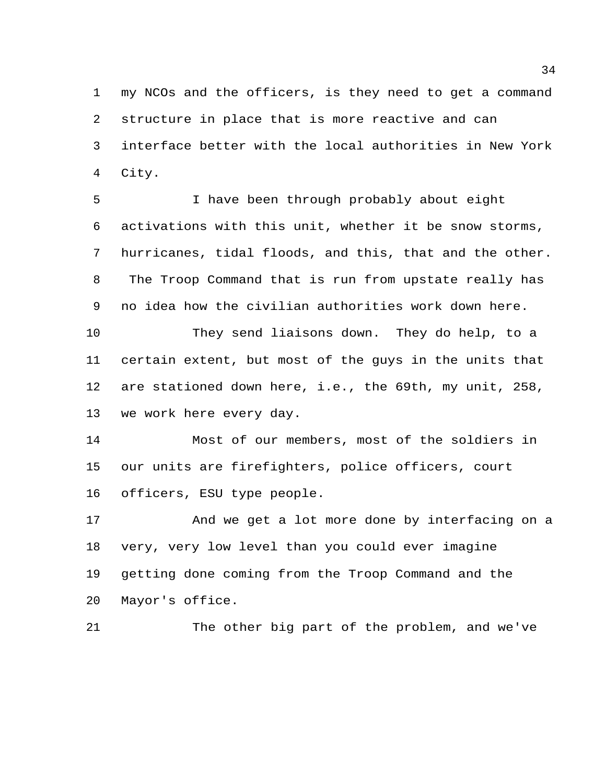my NCOs and the officers, is they need to get a command structure in place that is more reactive and can interface better with the local authorities in New York City.

 I have been through probably about eight activations with this unit, whether it be snow storms, hurricanes, tidal floods, and this, that and the other. The Troop Command that is run from upstate really has no idea how the civilian authorities work down here.

 They send liaisons down. They do help, to a certain extent, but most of the guys in the units that are stationed down here, i.e., the 69th, my unit, 258, we work here every day.

 Most of our members, most of the soldiers in our units are firefighters, police officers, court officers, ESU type people.

 And we get a lot more done by interfacing on a very, very low level than you could ever imagine getting done coming from the Troop Command and the Mayor's office.

The other big part of the problem, and we've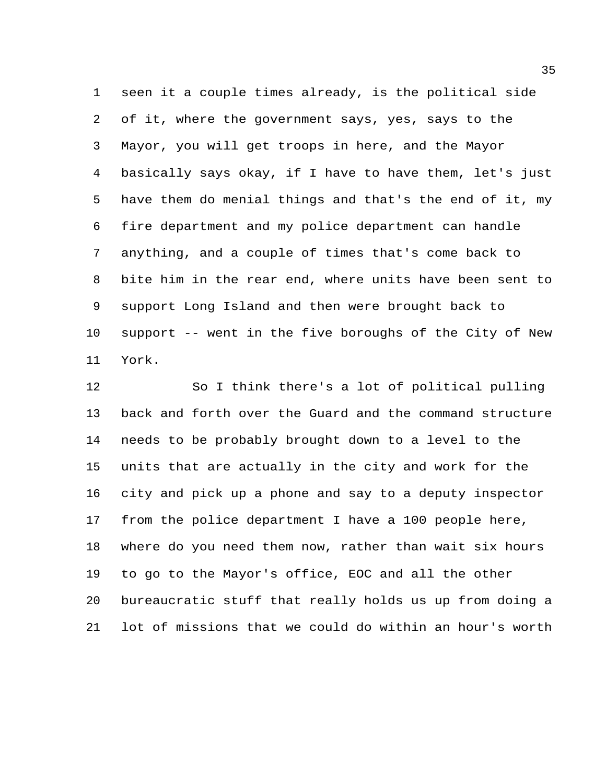seen it a couple times already, is the political side of it, where the government says, yes, says to the Mayor, you will get troops in here, and the Mayor basically says okay, if I have to have them, let's just have them do menial things and that's the end of it, my fire department and my police department can handle anything, and a couple of times that's come back to bite him in the rear end, where units have been sent to support Long Island and then were brought back to support -- went in the five boroughs of the City of New York.

 So I think there's a lot of political pulling back and forth over the Guard and the command structure needs to be probably brought down to a level to the units that are actually in the city and work for the city and pick up a phone and say to a deputy inspector from the police department I have a 100 people here, where do you need them now, rather than wait six hours to go to the Mayor's office, EOC and all the other bureaucratic stuff that really holds us up from doing a lot of missions that we could do within an hour's worth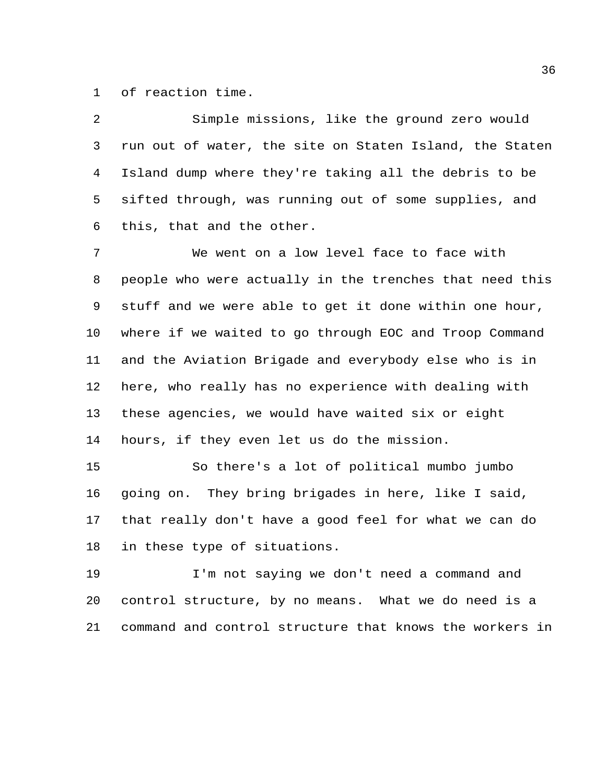of reaction time.

| 2  | Simple missions, like the ground zero would             |
|----|---------------------------------------------------------|
| 3  | run out of water, the site on Staten Island, the Staten |
| 4  | Island dump where they're taking all the debris to be   |
| 5  | sifted through, was running out of some supplies, and   |
| 6  | this, that and the other.                               |
| 7  | We went on a low level face to face with                |
| 8  | people who were actually in the trenches that need this |
| 9  | stuff and we were able to get it done within one hour,  |
| 10 | where if we waited to go through EOC and Troop Command  |
| 11 | and the Aviation Brigade and everybody else who is in   |
| 12 | here, who really has no experience with dealing with    |
| 13 | these agencies, we would have waited six or eight       |
| 14 | hours, if they even let us do the mission.              |
| 15 | So there's a lot of political mumbo jumbo               |
| 16 | going on. They bring brigades in here, like I said,     |
| 17 | that really don't have a good feel for what we can do   |
| 18 | in these type of situations.                            |

 I'm not saying we don't need a command and control structure, by no means. What we do need is a command and control structure that knows the workers in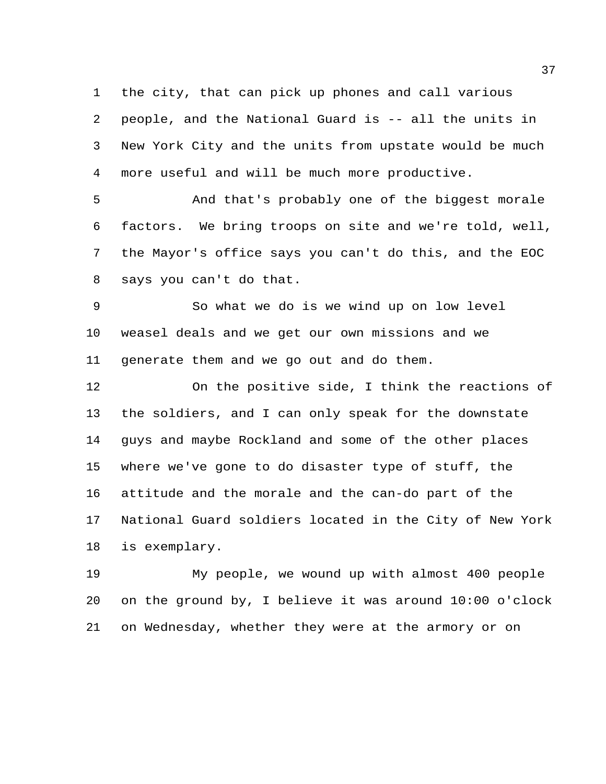the city, that can pick up phones and call various people, and the National Guard is -- all the units in New York City and the units from upstate would be much more useful and will be much more productive.

 And that's probably one of the biggest morale factors. We bring troops on site and we're told, well, the Mayor's office says you can't do this, and the EOC says you can't do that.

 So what we do is we wind up on low level weasel deals and we get our own missions and we generate them and we go out and do them.

 On the positive side, I think the reactions of the soldiers, and I can only speak for the downstate guys and maybe Rockland and some of the other places where we've gone to do disaster type of stuff, the attitude and the morale and the can-do part of the National Guard soldiers located in the City of New York is exemplary.

 My people, we wound up with almost 400 people on the ground by, I believe it was around 10:00 o'clock on Wednesday, whether they were at the armory or on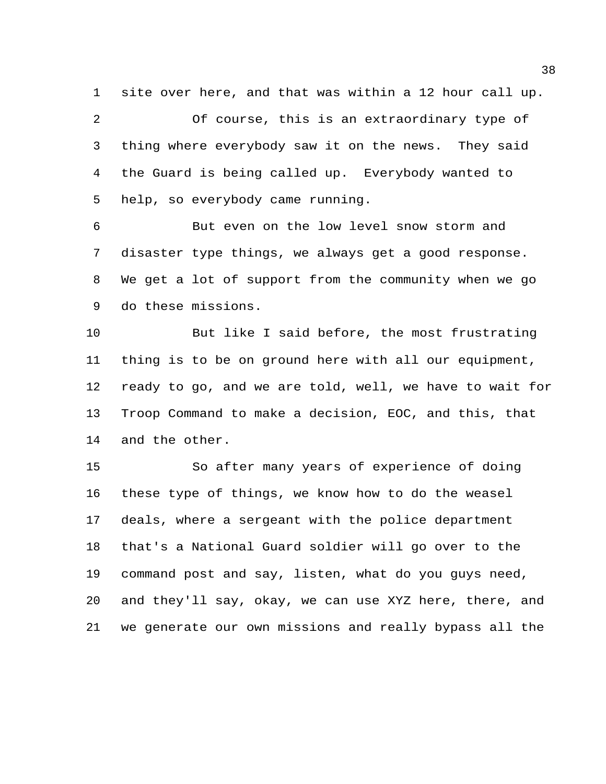site over here, and that was within a 12 hour call up.

 Of course, this is an extraordinary type of thing where everybody saw it on the news. They said the Guard is being called up. Everybody wanted to help, so everybody came running.

 But even on the low level snow storm and disaster type things, we always get a good response. We get a lot of support from the community when we go do these missions.

 But like I said before, the most frustrating thing is to be on ground here with all our equipment, ready to go, and we are told, well, we have to wait for Troop Command to make a decision, EOC, and this, that and the other.

 So after many years of experience of doing these type of things, we know how to do the weasel deals, where a sergeant with the police department that's a National Guard soldier will go over to the command post and say, listen, what do you guys need, and they'll say, okay, we can use XYZ here, there, and we generate our own missions and really bypass all the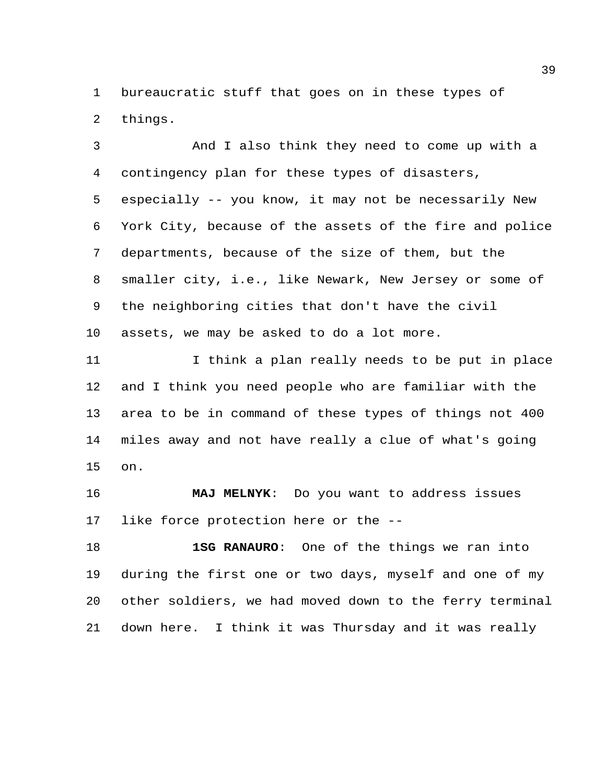bureaucratic stuff that goes on in these types of things.

 And I also think they need to come up with a contingency plan for these types of disasters, especially -- you know, it may not be necessarily New York City, because of the assets of the fire and police departments, because of the size of them, but the smaller city, i.e., like Newark, New Jersey or some of the neighboring cities that don't have the civil assets, we may be asked to do a lot more.

 I think a plan really needs to be put in place and I think you need people who are familiar with the area to be in command of these types of things not 400 miles away and not have really a clue of what's going on.

 **MAJ MELNYK**: Do you want to address issues like force protection here or the --

 **1SG RANAURO**: One of the things we ran into during the first one or two days, myself and one of my other soldiers, we had moved down to the ferry terminal down here. I think it was Thursday and it was really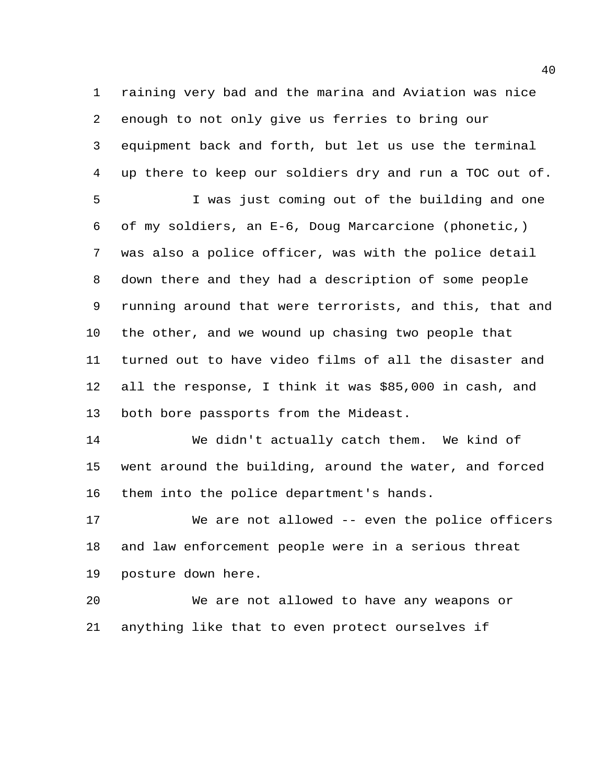raining very bad and the marina and Aviation was nice enough to not only give us ferries to bring our equipment back and forth, but let us use the terminal up there to keep our soldiers dry and run a TOC out of.

 I was just coming out of the building and one of my soldiers, an E-6, Doug Marcarcione (phonetic,) was also a police officer, was with the police detail down there and they had a description of some people running around that were terrorists, and this, that and the other, and we wound up chasing two people that turned out to have video films of all the disaster and all the response, I think it was \$85,000 in cash, and both bore passports from the Mideast.

 We didn't actually catch them. We kind of went around the building, around the water, and forced them into the police department's hands.

 We are not allowed -- even the police officers and law enforcement people were in a serious threat posture down here.

 We are not allowed to have any weapons or anything like that to even protect ourselves if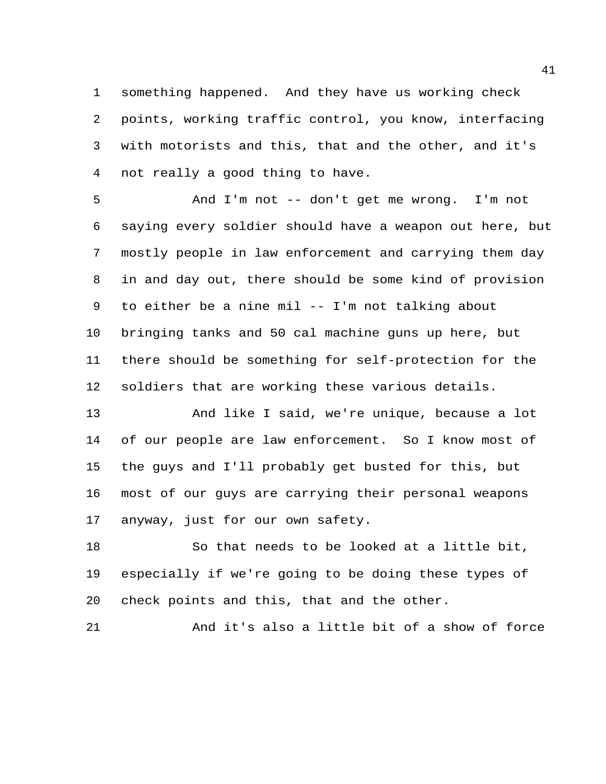something happened. And they have us working check points, working traffic control, you know, interfacing with motorists and this, that and the other, and it's not really a good thing to have.

 And I'm not -- don't get me wrong. I'm not saying every soldier should have a weapon out here, but mostly people in law enforcement and carrying them day in and day out, there should be some kind of provision to either be a nine mil -- I'm not talking about bringing tanks and 50 cal machine guns up here, but there should be something for self-protection for the soldiers that are working these various details.

 And like I said, we're unique, because a lot of our people are law enforcement. So I know most of the guys and I'll probably get busted for this, but most of our guys are carrying their personal weapons anyway, just for our own safety.

 So that needs to be looked at a little bit, especially if we're going to be doing these types of check points and this, that and the other.

And it's also a little bit of a show of force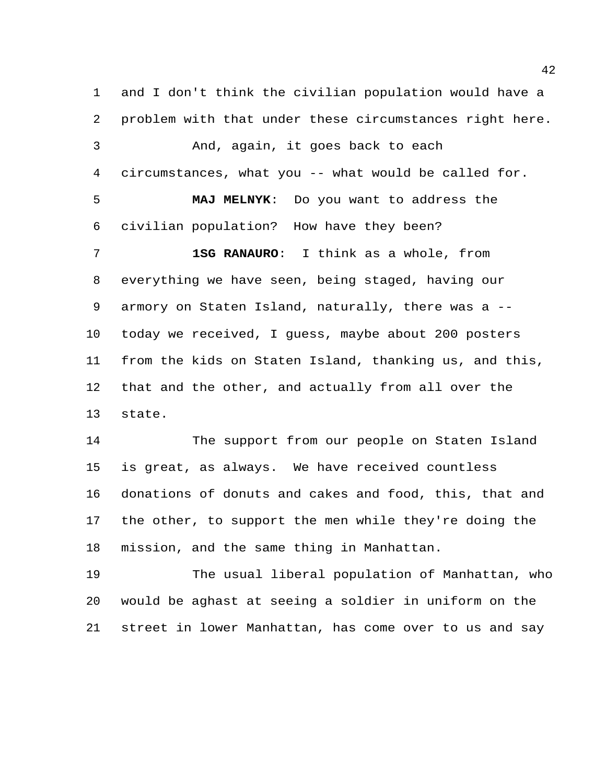and I don't think the civilian population would have a problem with that under these circumstances right here. And, again, it goes back to each circumstances, what you -- what would be called for. **MAJ MELNYK**: Do you want to address the civilian population? How have they been? **1SG RANAURO**: I think as a whole, from everything we have seen, being staged, having our armory on Staten Island, naturally, there was a -- today we received, I guess, maybe about 200 posters from the kids on Staten Island, thanking us, and this, that and the other, and actually from all over the state. The support from our people on Staten Island

 is great, as always. We have received countless donations of donuts and cakes and food, this, that and the other, to support the men while they're doing the mission, and the same thing in Manhattan.

 The usual liberal population of Manhattan, who would be aghast at seeing a soldier in uniform on the street in lower Manhattan, has come over to us and say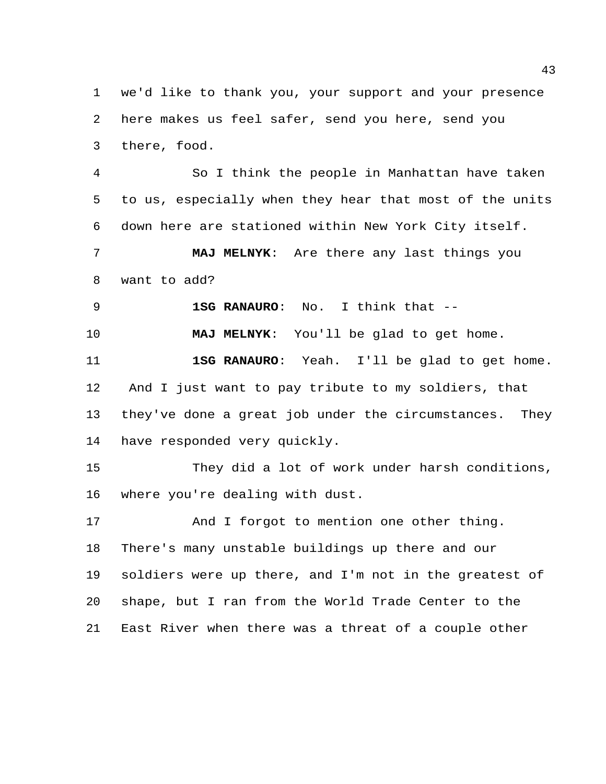we'd like to thank you, your support and your presence here makes us feel safer, send you here, send you there, food.

 So I think the people in Manhattan have taken to us, especially when they hear that most of the units down here are stationed within New York City itself.

 **MAJ MELNYK**: Are there any last things you want to add?

**1SG RANAURO**: No. I think that --

**MAJ MELNYK**: You'll be glad to get home.

 **1SG RANAURO**: Yeah. I'll be glad to get home. And I just want to pay tribute to my soldiers, that they've done a great job under the circumstances. They have responded very quickly.

 They did a lot of work under harsh conditions, where you're dealing with dust.

17 And I forgot to mention one other thing. There's many unstable buildings up there and our soldiers were up there, and I'm not in the greatest of shape, but I ran from the World Trade Center to the East River when there was a threat of a couple other